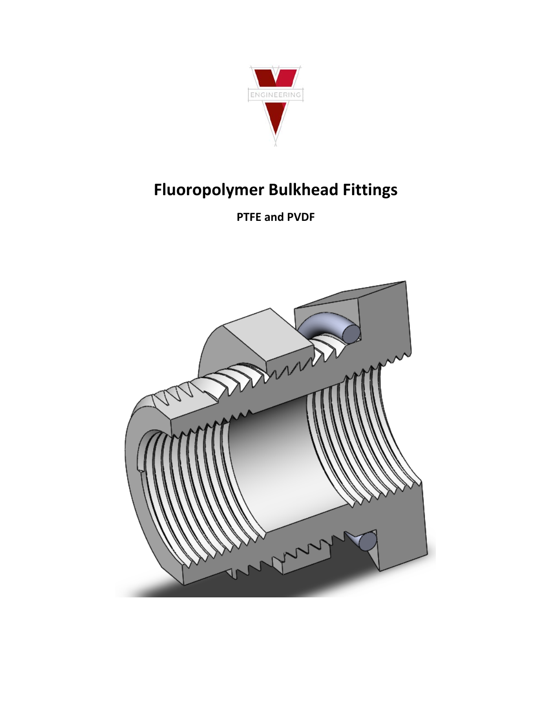

# **Fluoropolymer Bulkhead Fittings**

**PTFE and PVDF**

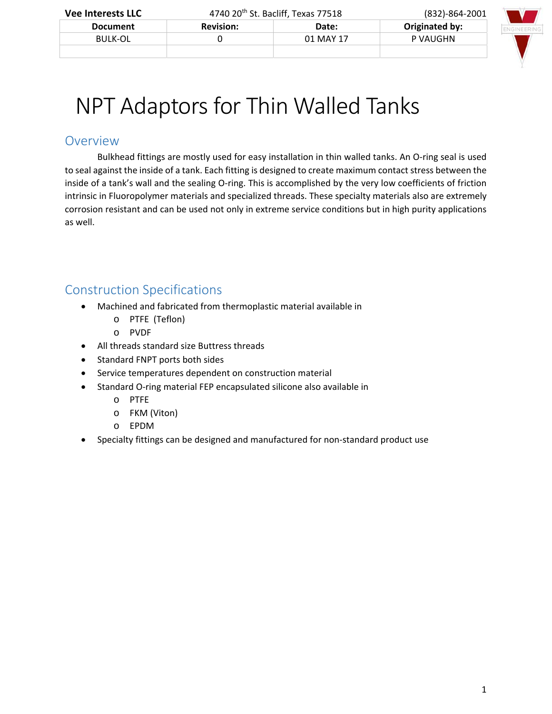| <b>Vee Interests LLC</b> | 4740 20 <sup>th</sup> St. Bacliff, Texas 77518 | (832)-864-2001 |                |      |
|--------------------------|------------------------------------------------|----------------|----------------|------|
| <b>Document</b>          | <b>Revision:</b>                               | Date:          | Originated by: | ENGI |
| <b>BULK-OL</b>           |                                                | 01 MAY 17      | P VAUGHN       |      |
|                          |                                                |                |                |      |

# NPT Adaptors for Thin Walled Tanks

#### Overview

Bulkhead fittings are mostly used for easy installation in thin walled tanks. An O‐ring seal is used to seal against the inside of a tank. Each fitting is designed to create maximum contact stress between the inside of a tank's wall and the sealing O-ring. This is accomplished by the very low coefficients of friction intrinsic in Fluoropolymer materials and specialized threads. These specialty materials also are extremely corrosion resistant and can be used not only in extreme service conditions but in high purity applications as well.

## Construction Specifications

- Machined and fabricated from thermoplastic material available in
	- o PTFE (Teflon)
	- o PVDF
- All threads standard size Buttress threads
- Standard FNPT ports both sides
- Service temperatures dependent on construction material
- Standard O-ring material FEP encapsulated silicone also available in
	- o PTFE
	- o FKM (Viton)
	- o EPDM
- Specialty fittings can be designed and manufactured for non‐standard product use